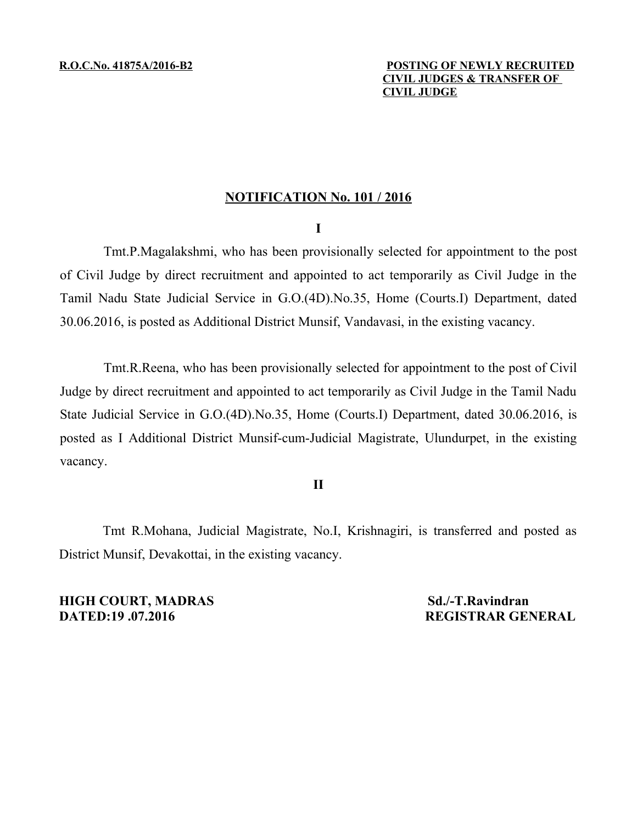# **NOTIFICATION No. 101 / 2016**

### **I**

Tmt.P.Magalakshmi, who has been provisionally selected for appointment to the post of Civil Judge by direct recruitment and appointed to act temporarily as Civil Judge in the Tamil Nadu State Judicial Service in G.O.(4D).No.35, Home (Courts.I) Department, dated 30.06.2016, is posted as Additional District Munsif, Vandavasi, in the existing vacancy.

Tmt.R.Reena, who has been provisionally selected for appointment to the post of Civil Judge by direct recruitment and appointed to act temporarily as Civil Judge in the Tamil Nadu State Judicial Service in G.O.(4D).No.35, Home (Courts.I) Department, dated 30.06.2016, is posted as I Additional District Munsif-cum-Judicial Magistrate, Ulundurpet, in the existing vacancy.

# **II**

Tmt R.Mohana, Judicial Magistrate, No.I, Krishnagiri, is transferred and posted as District Munsif, Devakottai, in the existing vacancy.

**HIGH COURT, MADRAS Sd./-T.Ravindran DATED:19 .07.2016 REGISTRAR GENERAL**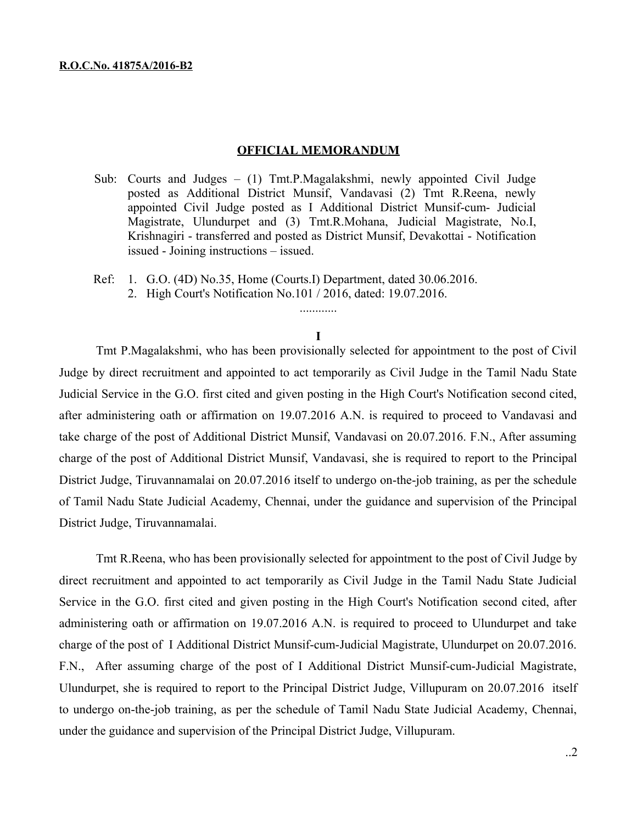### **OFFICIAL MEMORANDUM**

- Sub: Courts and Judges (1) Tmt.P.Magalakshmi, newly appointed Civil Judge posted as Additional District Munsif, Vandavasi (2) Tmt R.Reena, newly appointed Civil Judge posted as I Additional District Munsif-cum- Judicial Magistrate, Ulundurpet and (3) Tmt.R.Mohana, Judicial Magistrate, No.I, Krishnagiri - transferred and posted as District Munsif, Devakottai - Notification issued - Joining instructions – issued.
- Ref: 1. G.O. (4D) No.35, Home (Courts.I) Department, dated 30.06.2016.
	- 2. High Court's Notification No.101 / 2016, dated: 19.07.2016.

#### **I**

............

Tmt P.Magalakshmi, who has been provisionally selected for appointment to the post of Civil Judge by direct recruitment and appointed to act temporarily as Civil Judge in the Tamil Nadu State Judicial Service in the G.O. first cited and given posting in the High Court's Notification second cited, after administering oath or affirmation on 19.07.2016 A.N. is required to proceed to Vandavasi and take charge of the post of Additional District Munsif, Vandavasi on 20.07.2016. F.N., After assuming charge of the post of Additional District Munsif, Vandavasi, she is required to report to the Principal District Judge, Tiruvannamalai on 20.07.2016 itself to undergo on-the-job training, as per the schedule of Tamil Nadu State Judicial Academy, Chennai, under the guidance and supervision of the Principal District Judge, Tiruvannamalai.

Tmt R.Reena, who has been provisionally selected for appointment to the post of Civil Judge by direct recruitment and appointed to act temporarily as Civil Judge in the Tamil Nadu State Judicial Service in the G.O. first cited and given posting in the High Court's Notification second cited, after administering oath or affirmation on 19.07.2016 A.N. is required to proceed to Ulundurpet and take charge of the post of I Additional District Munsif-cum-Judicial Magistrate, Ulundurpet on 20.07.2016. F.N., After assuming charge of the post of I Additional District Munsif-cum-Judicial Magistrate, Ulundurpet, she is required to report to the Principal District Judge, Villupuram on 20.07.2016 itself to undergo on-the-job training, as per the schedule of Tamil Nadu State Judicial Academy, Chennai, under the guidance and supervision of the Principal District Judge, Villupuram.